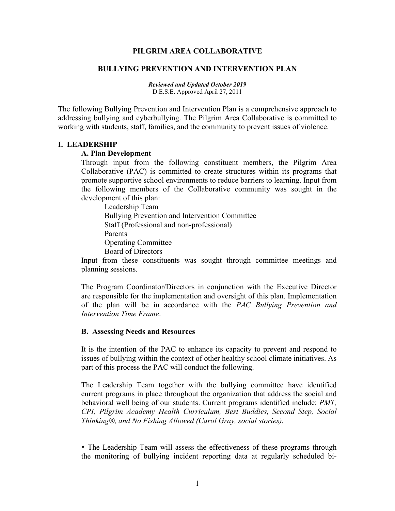#### **PILGRIM AREA COLLABORATIVE**

#### **BULLYING PREVENTION AND INTERVENTION PLAN**

*Reviewed and Updated October 2019* D.E.S.E. Approved April 27, 2011

The following Bullying Prevention and Intervention Plan is a comprehensive approach to addressing bullying and cyberbullying. The Pilgrim Area Collaborative is committed to working with students, staff, families, and the community to prevent issues of violence.

#### **I. LEADERSHIP**

#### **A. Plan Development**

Through input from the following constituent members, the Pilgrim Area Collaborative (PAC) is committed to create structures within its programs that promote supportive school environments to reduce barriers to learning. Input from the following members of the Collaborative community was sought in the development of this plan:

Leadership Team Bullying Prevention and Intervention Committee Staff (Professional and non-professional) Parents Operating Committee Board of Directors

Input from these constituents was sought through committee meetings and planning sessions.

The Program Coordinator/Directors in conjunction with the Executive Director are responsible for the implementation and oversight of this plan. Implementation of the plan will be in accordance with the *PAC Bullying Prevention and Intervention Time Frame*.

#### **B. Assessing Needs and Resources**

It is the intention of the PAC to enhance its capacity to prevent and respond to issues of bullying within the context of other healthy school climate initiatives. As part of this process the PAC will conduct the following.

The Leadership Team together with the bullying committee have identified current programs in place throughout the organization that address the social and behavioral well being of our students. Current programs identified include: *PMT, CPI, Pilgrim Academy Health Curriculum, Best Buddies, Second Step, Social Thinking®, and No Fishing Allowed (Carol Gray, social stories).*

• The Leadership Team will assess the effectiveness of these programs through the monitoring of bullying incident reporting data at regularly scheduled bi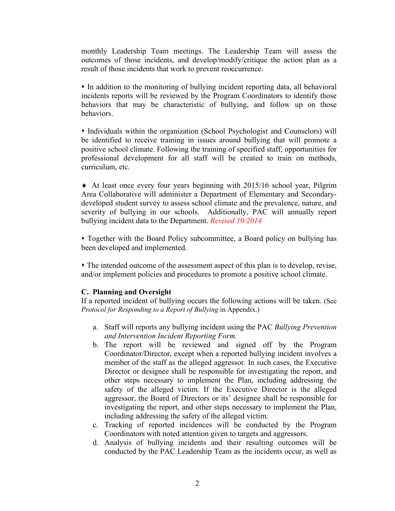monthly Leadership Team meetings. The Leadership Team will assess the outcomes of those incidents, and develop/modify/critique the action plan as a result of those incidents that work to prevent reoccurrence.

 In addition to the monitoring of bullying incident reporting data, all behavioral incidents reports will be reviewed by the Program Coordinators to identify those behaviors that may be characteristic of bullying, and follow up on those behaviors.

 Individuals within the organization (School Psychologist and Counselors) will be identified to receive training in issues around bullying that will promote a positive school climate. Following the training of specified staff, opportunities for professional development for all staff will be created to train on methods, curriculum, etc.

♦ At least once every four years beginning with 2015/16 school year, Pilgrim Area Collaborative will administer a Department of Elementary and Secondarydeveloped student survey to assess school climate and the prevalence, nature, and severity of bullying in our schools. Additionally, PAC will annually report bullying incident data to the Department. *Revised 10/2014*

 Together with the Board Policy subcommittee, a Board policy on bullying has been developed and implemented.

 The intended outcome of the assessment aspect of this plan is to develop, revise, and/or implement policies and procedures to promote a positive school climate.

### **C. Planning and Oversight**

If a reported incident of bullying occurs the following actions will be taken. (See *Protocol for Responding to a Report of Bullying* in Appendix.)

- a. Staff will reports any bullying incident using the PAC *Bullying Prevention and Intervention Incident Reporting Form.*
- b. The report will be reviewed and signed off by the Program Coordinator/Director, except when a reported bullying incident involves a member of the staff as the alleged aggressor. In such cases, the Executive Director or designee shall be responsible for investigating the report, and other steps necessary to implement the Plan, including addressing the safety of the alleged victim. If the Executive Director is the alleged aggressor, the Board of Directors or its' designee shall be responsible for investigating the report, and other steps necessary to implement the Plan, including addressing the safety of the alleged victim.
- c. Tracking of reported incidences will be conducted by the Program Coordinators with noted attention given to targets and aggressors.
- d. Analysis of bullying incidents and their resulting outcomes will be conducted by the PAC Leadership Team as the incidents occur, as well as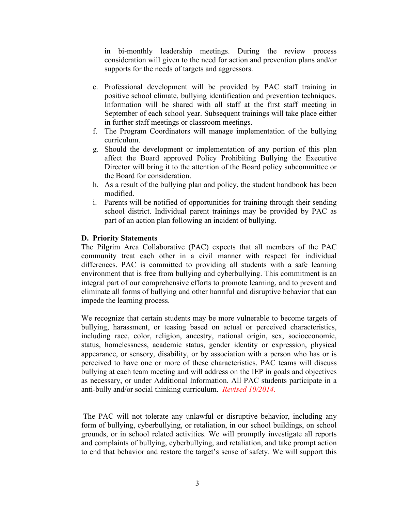in bi-monthly leadership meetings. During the review process consideration will given to the need for action and prevention plans and/or supports for the needs of targets and aggressors.

- e. Professional development will be provided by PAC staff training in positive school climate, bullying identification and prevention techniques. Information will be shared with all staff at the first staff meeting in September of each school year. Subsequent trainings will take place either in further staff meetings or classroom meetings.
- f. The Program Coordinators will manage implementation of the bullying curriculum.
- g. Should the development or implementation of any portion of this plan affect the Board approved Policy Prohibiting Bullying the Executive Director will bring it to the attention of the Board policy subcommittee or the Board for consideration.
- h. As a result of the bullying plan and policy, the student handbook has been modified.
- i. Parents will be notified of opportunities for training through their sending school district. Individual parent trainings may be provided by PAC as part of an action plan following an incident of bullying.

## **D. Priority Statements**

The Pilgrim Area Collaborative (PAC) expects that all members of the PAC community treat each other in a civil manner with respect for individual differences. PAC is committed to providing all students with a safe learning environment that is free from bullying and cyberbullying. This commitment is an integral part of our comprehensive efforts to promote learning, and to prevent and eliminate all forms of bullying and other harmful and disruptive behavior that can impede the learning process.

We recognize that certain students may be more vulnerable to become targets of bullying, harassment, or teasing based on actual or perceived characteristics, including race, color, religion, ancestry, national origin, sex, socioeconomic, status, homelessness, academic status, gender identity or expression, physical appearance, or sensory, disability, or by association with a person who has or is perceived to have one or more of these characteristics. PAC teams will discuss bullying at each team meeting and will address on the IEP in goals and objectives as necessary, or under Additional Information. All PAC students participate in a anti-bully and/or social thinking curriculum. *Revised 10/2014.*

The PAC will not tolerate any unlawful or disruptive behavior, including any form of bullying, cyberbullying, or retaliation, in our school buildings, on school grounds, or in school related activities. We will promptly investigate all reports and complaints of bullying, cyberbullying, and retaliation, and take prompt action to end that behavior and restore the target's sense of safety. We will support this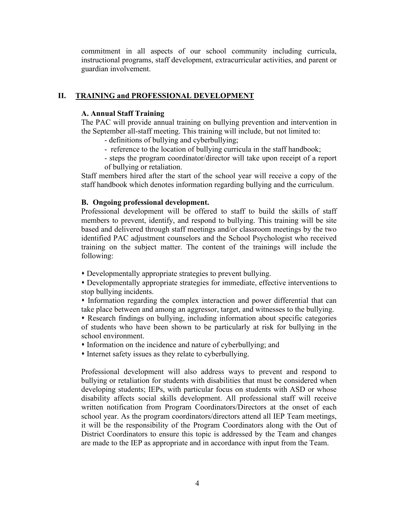commitment in all aspects of our school community including curricula, instructional programs, staff development, extracurricular activities, and parent or guardian involvement.

## **II. TRAINING and PROFESSIONAL DEVELOPMENT**

### **A. Annual Staff Training**

The PAC will provide annual training on bullying prevention and intervention in the September all-staff meeting. This training will include, but not limited to:

- definitions of bullying and cyberbullying;
- reference to the location of bullying curricula in the staff handbook;
- steps the program coordinator/director will take upon receipt of a report of bullying or retaliation.

Staff members hired after the start of the school year will receive a copy of the staff handbook which denotes information regarding bullying and the curriculum.

#### **B. Ongoing professional development.**

Professional development will be offered to staff to build the skills of staff members to prevent, identify, and respond to bullying. This training will be site based and delivered through staff meetings and/or classroom meetings by the two identified PAC adjustment counselors and the School Psychologist who received training on the subject matter. The content of the trainings will include the following:

Developmentally appropriate strategies to prevent bullying.

 Developmentally appropriate strategies for immediate, effective interventions to stop bullying incidents.

 Information regarding the complex interaction and power differential that can take place between and among an aggressor, target, and witnesses to the bullying.

 Research findings on bullying, including information about specific categories of students who have been shown to be particularly at risk for bullying in the school environment.

- Information on the incidence and nature of cyberbullying; and
- Internet safety issues as they relate to cyberbullying.

Professional development will also address ways to prevent and respond to bullying or retaliation for students with disabilities that must be considered when developing students; IEPs, with particular focus on students with ASD or whose disability affects social skills development. All professional staff will receive written notification from Program Coordinators/Directors at the onset of each school year. As the program coordinators/directors attend all IEP Team meetings, it will be the responsibility of the Program Coordinators along with the Out of District Coordinators to ensure this topic is addressed by the Team and changes are made to the IEP as appropriate and in accordance with input from the Team.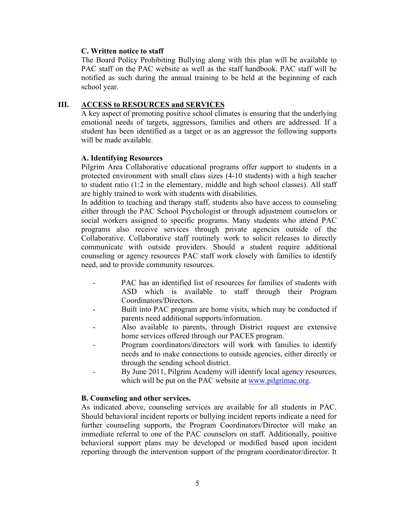## **C. Written notice to staff**

The Board Policy Prohibiting Bullying along with this plan will be available to PAC staff on the PAC website as well as the staff handbook. PAC staff will be notified as such during the annual training to be held at the beginning of each school year.

## **III. ACCESS to RESOURCES and SERVICES**

A key aspect of promoting positive school climates is ensuring that the underlying emotional needs of targets, aggressors, families and others are addressed. If a student has been identified as a target or as an aggressor the following supports will be made available.

## **A. Identifying Resources**

Pilgrim Area Collaborative educational programs offer support to students in a protected environment with small class sizes (4-10 students) with a high teacher to student ratio (1:2 in the elementary, middle and high school classes). All staff are highly trained to work with students with disabilities.

In addition to teaching and therapy staff, students also have access to counseling either through the PAC School Psychologist or through adjustment counselors or social workers assigned to specific programs. Many students who attend PAC programs also receive services through private agencies outside of the Collaborative. Collaborative staff routinely work to solicit releases to directly communicate with outside providers. Should a student require additional counseling or agency resources PAC staff work closely with families to identify need, and to provide community resources.

- PAC has an identified list of resources for families of students with ASD which is available to staff through their Program Coordinators/Directors.
- Built into PAC program are home visits, which may be conducted if parents need additional supports/information.
- Also available to parents, through District request are extensive home services offered through our PACES program.
- Program coordinators/directors will work with families to identify needs and to make connections to outside agencies, either directly or through the sending school district.
- By June 2011, Pilgrim Academy will identify local agency resources, which will be put on the PAC website at [www.pilgrimac.org.](http://www.pilgrimac.org/)

### **B. Counseling and other services.**

As indicated above, counseling services are available for all students in PAC. Should behavioral incident reports or bullying incident reports indicate a need for further counseling supports, the Program Coordinators/Director will make an immediate referral to one of the PAC counselors on staff. Additionally, positive behavioral support plans may be developed or modified based upon incident reporting through the intervention support of the program coordinator/director. It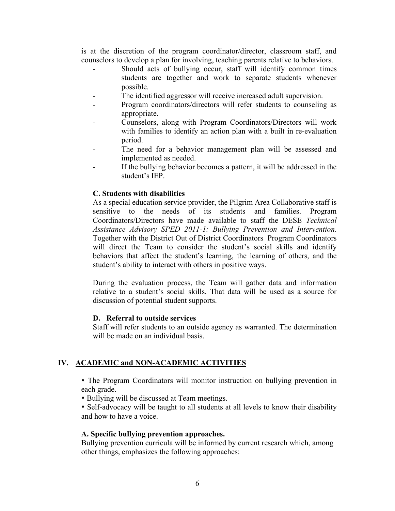is at the discretion of the program coordinator/director, classroom staff, and counselors to develop a plan for involving, teaching parents relative to behaviors.

- Should acts of bullying occur, staff will identify common times students are together and work to separate students whenever possible.
- The identified aggressor will receive increased adult supervision.
- Program coordinators/directors will refer students to counseling as appropriate.
- Counselors, along with Program Coordinators/Directors will work with families to identify an action plan with a built in re-evaluation period.
- The need for a behavior management plan will be assessed and implemented as needed.
- If the bullying behavior becomes a pattern, it will be addressed in the student's IEP.

#### **C. Students with disabilities**

As a special education service provider, the Pilgrim Area Collaborative staff is sensitive to the needs of its students and families. Program Coordinators/Directors have made available to staff the DESE *Technical Assistance Advisory SPED 2011-1: Bullying Prevention and Intervention*. Together with the District Out of District Coordinators Program Coordinators will direct the Team to consider the student's social skills and identify behaviors that affect the student's learning, the learning of others, and the student's ability to interact with others in positive ways.

During the evaluation process, the Team will gather data and information relative to a student's social skills. That data will be used as a source for discussion of potential student supports.

#### **D. Referral to outside services**

Staff will refer students to an outside agency as warranted. The determination will be made on an individual basis.

### **IV. ACADEMIC and NON-ACADEMIC ACTIVITIES**

 The Program Coordinators will monitor instruction on bullying prevention in each grade.

Bullying will be discussed at Team meetings.

 Self-advocacy will be taught to all students at all levels to know their disability and how to have a voice.

#### **A. Specific bullying prevention approaches.**

Bullying prevention curricula will be informed by current research which, among other things, emphasizes the following approaches: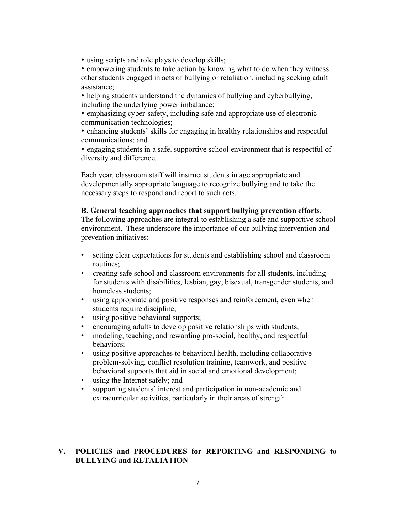using scripts and role plays to develop skills;

 empowering students to take action by knowing what to do when they witness other students engaged in acts of bullying or retaliation, including seeking adult assistance;

 helping students understand the dynamics of bullying and cyberbullying, including the underlying power imbalance;

 emphasizing cyber-safety, including safe and appropriate use of electronic communication technologies;

 enhancing students' skills for engaging in healthy relationships and respectful communications; and

 engaging students in a safe, supportive school environment that is respectful of diversity and difference.

Each year, classroom staff will instruct students in age appropriate and developmentally appropriate language to recognize bullying and to take the necessary steps to respond and report to such acts.

### **B. General teaching approaches that support bullying prevention efforts.**

The following approaches are integral to establishing a safe and supportive school environment. These underscore the importance of our bullying intervention and prevention initiatives:

- setting clear expectations for students and establishing school and classroom routines;
- creating safe school and classroom environments for all students, including for students with disabilities, lesbian, gay, bisexual, transgender students, and homeless students;
- using appropriate and positive responses and reinforcement, even when students require discipline;
- using positive behavioral supports;
- encouraging adults to develop positive relationships with students;
- modeling, teaching, and rewarding pro-social, healthy, and respectful behaviors;
- using positive approaches to behavioral health, including collaborative problem-solving, conflict resolution training, teamwork, and positive behavioral supports that aid in social and emotional development;
- using the Internet safely; and
- supporting students' interest and participation in non-academic and extracurricular activities, particularly in their areas of strength.

## **V. POLICIES and PROCEDURES for REPORTING and RESPONDING to BULLYING and RETALIATION**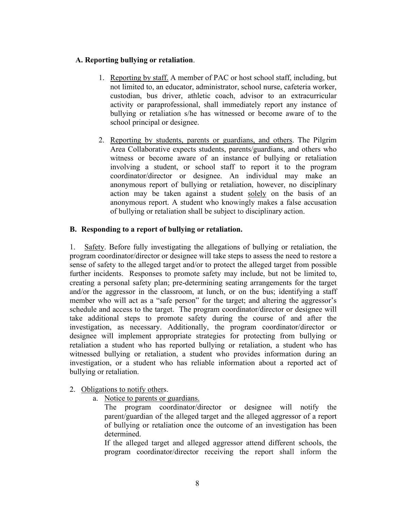## **A. Reporting bullying or retaliation**.

- 1. Reporting by staff. A member of PAC or host school staff, including, but not limited to, an educator, administrator, school nurse, cafeteria worker, custodian, bus driver, athletic coach, advisor to an extracurricular activity or paraprofessional, shall immediately report any instance of bullying or retaliation s/he has witnessed or become aware of to the school principal or designee.
- 2. Reporting by students, parents or guardians, and others. The Pilgrim Area Collaborative expects students, parents/guardians, and others who witness or become aware of an instance of bullying or retaliation involving a student, or school staff to report it to the program coordinator/director or designee. An individual may make an anonymous report of bullying or retaliation, however, no disciplinary action may be taken against a student solely on the basis of an anonymous report. A student who knowingly makes a false accusation of bullying or retaliation shall be subject to disciplinary action.

## **B. Responding to a report of bullying or retaliation.**

1. Safety. Before fully investigating the allegations of bullying or retaliation, the program coordinator/director or designee will take steps to assess the need to restore a sense of safety to the alleged target and/or to protect the alleged target from possible further incidents. Responses to promote safety may include, but not be limited to, creating a personal safety plan; pre-determining seating arrangements for the target and/or the aggressor in the classroom, at lunch, or on the bus; identifying a staff member who will act as a "safe person" for the target; and altering the aggressor's schedule and access to the target. The program coordinator/director or designee will take additional steps to promote safety during the course of and after the investigation, as necessary. Additionally, the program coordinator/director or designee will implement appropriate strategies for protecting from bullying or retaliation a student who has reported bullying or retaliation, a student who has witnessed bullying or retaliation, a student who provides information during an investigation, or a student who has reliable information about a reported act of bullying or retaliation.

- 2. Obligations to notify others.
	- a. Notice to parents or guardians.

The program coordinator/director or designee will notify the parent/guardian of the alleged target and the alleged aggressor of a report of bullying or retaliation once the outcome of an investigation has been determined.

If the alleged target and alleged aggressor attend different schools, the program coordinator/director receiving the report shall inform the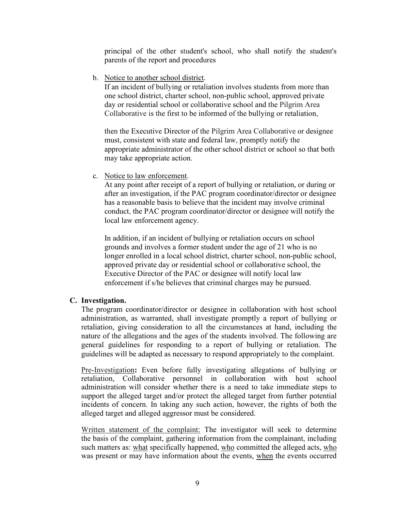principal of the other student's school, who shall notify the student's parents of the report and procedures

b. Notice to another school district.

If an incident of bullying or retaliation involves students from more than one school district, charter school, non-public school, approved private day or residential school or collaborative school and the Pilgrim Area Collaborative is the first to be informed of the bullying or retaliation,

then the Executive Director of the Pilgrim Area Collaborative or designee must, consistent with state and federal law, promptly notify the appropriate administrator of the other school district or school so that both may take appropriate action.

c. Notice to law enforcement.

At any point after receipt of a report of bullying or retaliation, or during or after an investigation, if the PAC program coordinator/director or designee has a reasonable basis to believe that the incident may involve criminal conduct, the PAC program coordinator/director or designee will notify the local law enforcement agency.

In addition, if an incident of bullying or retaliation occurs on school grounds and involves a former student under the age of 21 who is no longer enrolled in a local school district, charter school, non-public school, approved private day or residential school or collaborative school, the Executive Director of the PAC or designee will notify local law enforcement if s/he believes that criminal charges may be pursued.

## **C. Investigation.**

The program coordinator/director or designee in collaboration with host school administration, as warranted, shall investigate promptly a report of bullying or retaliation, giving consideration to all the circumstances at hand, including the nature of the allegations and the ages of the students involved. The following are general guidelines for responding to a report of bullying or retaliation. The guidelines will be adapted as necessary to respond appropriately to the complaint.

Pre-Investigation**:** Even before fully investigating allegations of bullying or retaliation, Collaborative personnel in collaboration with host school administration will consider whether there is a need to take immediate steps to support the alleged target and/or protect the alleged target from further potential incidents of concern. In taking any such action, however, the rights of both the alleged target and alleged aggressor must be considered.

Written statement of the complaint: The investigator will seek to determine the basis of the complaint, gathering information from the complainant, including such matters as: what specifically happened, who committed the alleged acts, who was present or may have information about the events, when the events occurred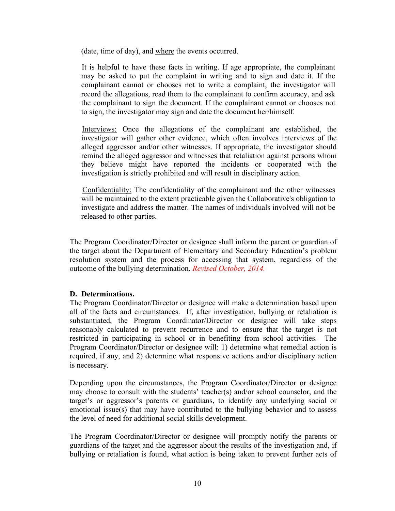(date, time of day), and where the events occurred.

It is helpful to have these facts in writing. If age appropriate, the complainant may be asked to put the complaint in writing and to sign and date it. If the complainant cannot or chooses not to write a complaint, the investigator will record the allegations, read them to the complainant to confirm accuracy, and ask the complainant to sign the document. If the complainant cannot or chooses not to sign, the investigator may sign and date the document her/himself.

Interviews: Once the allegations of the complainant are established, the investigator will gather other evidence, which often involves interviews of the alleged aggressor and/or other witnesses. If appropriate, the investigator should remind the alleged aggressor and witnesses that retaliation against persons whom they believe might have reported the incidents or cooperated with the investigation is strictly prohibited and will result in disciplinary action.

Confidentiality: The confidentiality of the complainant and the other witnesses will be maintained to the extent practicable given the Collaborative's obligation to investigate and address the matter. The names of individuals involved will not be released to other parties.

The Program Coordinator/Director or designee shall inform the parent or guardian of the target about the Department of Elementary and Secondary Education's problem resolution system and the process for accessing that system, regardless of the outcome of the bullying determination. *Revised October, 2014.*

### **D. Determinations.**

The Program Coordinator/Director or designee will make a determination based upon all of the facts and circumstances. If, after investigation, bullying or retaliation is substantiated, the Program Coordinator/Director or designee will take steps reasonably calculated to prevent recurrence and to ensure that the target is not restricted in participating in school or in benefiting from school activities. The Program Coordinator/Director or designee will: 1) determine what remedial action is required, if any, and 2) determine what responsive actions and/or disciplinary action is necessary.

Depending upon the circumstances, the Program Coordinator/Director or designee may choose to consult with the students' teacher(s) and/or school counselor, and the target's or aggressor's parents or guardians, to identify any underlying social or emotional issue(s) that may have contributed to the bullying behavior and to assess the level of need for additional social skills development.

The Program Coordinator/Director or designee will promptly notify the parents or guardians of the target and the aggressor about the results of the investigation and, if bullying or retaliation is found, what action is being taken to prevent further acts of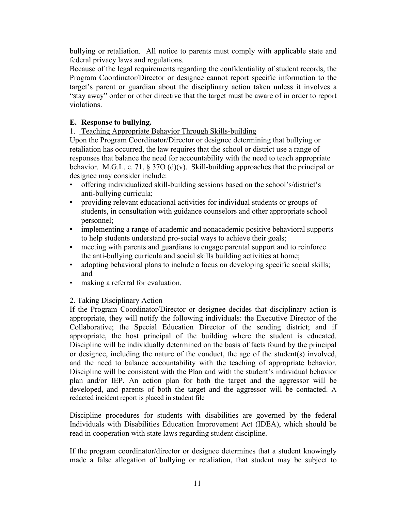bullying or retaliation. All notice to parents must comply with applicable state and federal privacy laws and regulations.

Because of the legal requirements regarding the confidentiality of student records, the Program Coordinator/Director or designee cannot report specific information to the target's parent or guardian about the disciplinary action taken unless it involves a "stay away" order or other directive that the target must be aware of in order to report violations.

## **E. Response to bullying.**

## 1. Teaching Appropriate Behavior Through Skills-building

Upon the Program Coordinator/Director or designee determining that bullying or retaliation has occurred, the law requires that the school or district use a range of responses that balance the need for accountability with the need to teach appropriate behavior. M.G.L. c. 71,  $\S 37O(d)(v)$ . Skill-building approaches that the principal or designee may consider include:

- offering individualized skill-building sessions based on the school's/district's anti-bullying curricula;
- providing relevant educational activities for individual students or groups of students, in consultation with guidance counselors and other appropriate school personnel;
- implementing a range of academic and nonacademic positive behavioral supports to help students understand pro-social ways to achieve their goals;
- meeting with parents and guardians to engage parental support and to reinforce the anti-bullying curricula and social skills building activities at home;
- adopting behavioral plans to include a focus on developing specific social skills; and
- making a referral for evaluation.

## 2. Taking Disciplinary Action

If the Program Coordinator/Director or designee decides that disciplinary action is appropriate, they will notify the following individuals: the Executive Director of the Collaborative; the Special Education Director of the sending district; and if appropriate, the host principal of the building where the student is educated. Discipline will be individually determined on the basis of facts found by the principal or designee, including the nature of the conduct, the age of the student(s) involved, and the need to balance accountability with the teaching of appropriate behavior. Discipline will be consistent with the Plan and with the student's individual behavior plan and/or IEP. An action plan for both the target and the aggressor will be developed, and parents of both the target and the aggressor will be contacted. A redacted incident report is placed in student file

Discipline procedures for students with disabilities are governed by the federal Individuals with Disabilities Education Improvement Act (IDEA), which should be read in cooperation with state laws regarding student discipline.

If the program coordinator/director or designee determines that a student knowingly made a false allegation of bullying or retaliation, that student may be subject to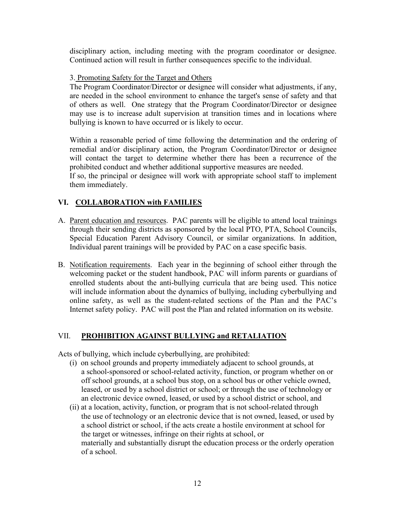disciplinary action, including meeting with the program coordinator or designee. Continued action will result in further consequences specific to the individual.

## 3. Promoting Safety for the Target and Others

The Program Coordinator/Director or designee will consider what adjustments, if any, are needed in the school environment to enhance the target's sense of safety and that of others as well. One strategy that the Program Coordinator/Director or designee may use is to increase adult supervision at transition times and in locations where bullying is known to have occurred or is likely to occur.

Within a reasonable period of time following the determination and the ordering of remedial and/or disciplinary action, the Program Coordinator/Director or designee will contact the target to determine whether there has been a recurrence of the prohibited conduct and whether additional supportive measures are needed. If so, the principal or designee will work with appropriate school staff to implement

them immediately.

## **VI. COLLABORATION with FAMILIES**

- A. Parent education and resources. PAC parents will be eligible to attend local trainings through their sending districts as sponsored by the local PTO, PTA, School Councils, Special Education Parent Advisory Council, or similar organizations. In addition, Individual parent trainings will be provided by PAC on a case specific basis.
- B. Notification requirements. Each year in the beginning of school either through the welcoming packet or the student handbook, PAC will inform parents or guardians of enrolled students about the anti-bullying curricula that are being used. This notice will include information about the dynamics of bullying, including cyberbullying and online safety, as well as the student-related sections of the Plan and the PAC's Internet safety policy. PAC will post the Plan and related information on its website.

## VII. **PROHIBITION AGAINST BULLYING and RETALIATION**

Acts of bullying, which include cyberbullying, are prohibited:

- (i) on school grounds and property immediately adjacent to school grounds, at a school-sponsored or school-related activity, function, or program whether on or off school grounds, at a school bus stop, on a school bus or other vehicle owned, leased, or used by a school district or school; or through the use of technology or an electronic device owned, leased, or used by a school district or school, and
- (ii) at a location, activity, function, or program that is not school-related through the use of technology or an electronic device that is not owned, leased, or used by a school district or school, if the acts create a hostile environment at school for the target or witnesses, infringe on their rights at school, or materially and substantially disrupt the education process or the orderly operation of a school.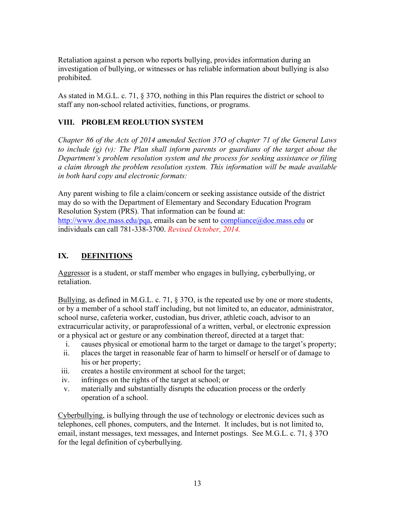Retaliation against a person who reports bullying, provides information during an investigation of bullying, or witnesses or has reliable information about bullying is also prohibited.

As stated in M.G.L. c. 71, § 37O, nothing in this Plan requires the district or school to staff any non-school related activities, functions, or programs.

## **VIII. PROBLEM REOLUTION SYSTEM**

*Chapter 86 of the Acts of 2014 amended Section 37O of chapter 71 of the General Laws to include (g) (v): The Plan shall inform parents or guardians of the target about the Department's problem resolution system and the process for seeking assistance or filing a claim through the problem resolution system. This information will be made available in both hard copy and electronic formats:*

Any parent wishing to file a claim/concern or seeking assistance outside of the district may do so with the Department of Elementary and Secondary Education Program Resolution System (PRS). That information can be found at: [http://www.doe.mass.edu/pqa,](http://www.doe.mass.edu/pqa) emails can be sent to [compliance@doe.mass.edu](mailto:compliance@doe.mass.edu) or individuals can call 781-338-3700. *Revised October, 2014.*

## **IX. DEFINITIONS**

Aggressor is a student, or staff member who engages in bullying, cyberbullying, or retaliation.

Bullying, as defined in M.G.L. c. 71, § 37O, is the repeated use by one or more students, or by a member of a school staff including, but not limited to, an educator, administrator, school nurse, cafeteria worker, custodian, bus driver, athletic coach, advisor to an extracurricular activity, or paraprofessional of a written, verbal, or electronic expression or a physical act or gesture or any combination thereof, directed at a target that:

- i. causes physical or emotional harm to the target or damage to the target's property;
- ii. places the target in reasonable fear of harm to himself or herself or of damage to his or her property;
- iii. creates a hostile environment at school for the target;
- iv. infringes on the rights of the target at school; or
- v. materially and substantially disrupts the education process or the orderly operation of a school.

Cyberbullying, is bullying through the use of technology or electronic devices such as telephones, cell phones, computers, and the Internet. It includes, but is not limited to, email, instant messages, text messages, and Internet postings. See M.G.L. c. 71, § 37O for the legal definition of cyberbullying.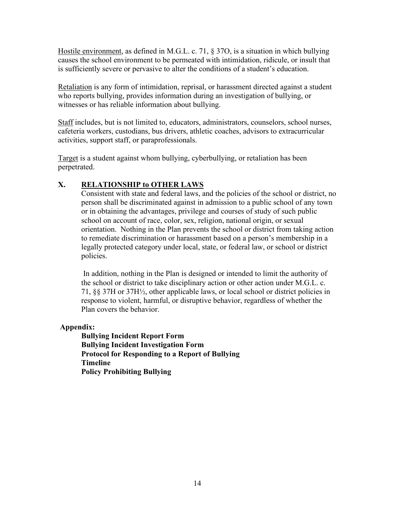Hostile environment, as defined in M.G.L. c. 71, § 37O, is a situation in which bullying causes the school environment to be permeated with intimidation, ridicule, or insult that is sufficiently severe or pervasive to alter the conditions of a student's education.

Retaliation is any form of intimidation, reprisal, or harassment directed against a student who reports bullying, provides information during an investigation of bullying, or witnesses or has reliable information about bullying.

Staff includes, but is not limited to, educators, administrators, counselors, school nurses, cafeteria workers, custodians, bus drivers, athletic coaches, advisors to extracurricular activities, support staff, or paraprofessionals.

Target is a student against whom bullying, cyberbullying, or retaliation has been perpetrated.

## **X. RELATIONSHIP to OTHER LAWS**

Consistent with state and federal laws, and the policies of the school or district, no person shall be discriminated against in admission to a public school of any town or in obtaining the advantages, privilege and courses of study of such public school on account of race, color, sex, religion, national origin, or sexual orientation. Nothing in the Plan prevents the school or district from taking action to remediate discrimination or harassment based on a person's membership in a legally protected category under local, state, or federal law, or school or district policies.

In addition, nothing in the Plan is designed or intended to limit the authority of the school or district to take disciplinary action or other action under M.G.L. c. 71, §§ 37H or 37H½, other applicable laws, or local school or district policies in response to violent, harmful, or disruptive behavior, regardless of whether the Plan covers the behavior.

**Appendix:**

**Bullying Incident Report Form Bullying Incident Investigation Form Protocol for Responding to a Report of Bullying Timeline Policy Prohibiting Bullying**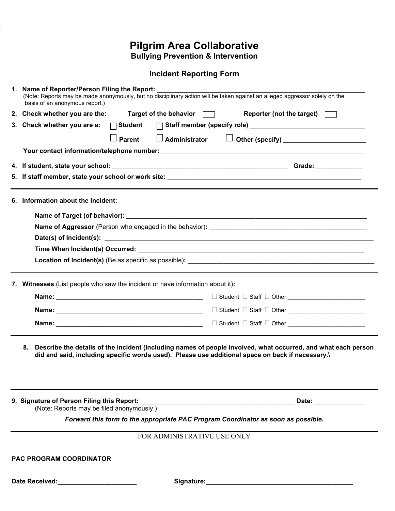## **Pilgrim Area Collaborative Bullying Prevention & Intervention**

## **Incident Reporting Form**

| 1. Name of Reporter/Person Filing the Report:<br>(Note: Reports may be made anonymously, but no disciplinary action will be taken against an alleged aggressor solely on the<br>basis of an anonymous report.)         |  |  |
|------------------------------------------------------------------------------------------------------------------------------------------------------------------------------------------------------------------------|--|--|
| 2. Check whether you are the:<br>Target of the behavior $\Box$<br>Reporter (not the target) $\Box$                                                                                                                     |  |  |
| 3. Check whether you are a:<br>$\Box$ Student                                                                                                                                                                          |  |  |
| □ Administrator □ Other (specify) ______________________<br>$\Box$ Parent                                                                                                                                              |  |  |
|                                                                                                                                                                                                                        |  |  |
|                                                                                                                                                                                                                        |  |  |
|                                                                                                                                                                                                                        |  |  |
| 5. If staff member, state your school or work site: ____________________________                                                                                                                                       |  |  |
| 6. Information about the Incident:                                                                                                                                                                                     |  |  |
|                                                                                                                                                                                                                        |  |  |
|                                                                                                                                                                                                                        |  |  |
|                                                                                                                                                                                                                        |  |  |
|                                                                                                                                                                                                                        |  |  |
|                                                                                                                                                                                                                        |  |  |
|                                                                                                                                                                                                                        |  |  |
| 7. Witnesses (List people who saw the incident or have information about it):                                                                                                                                          |  |  |
|                                                                                                                                                                                                                        |  |  |
|                                                                                                                                                                                                                        |  |  |
|                                                                                                                                                                                                                        |  |  |
|                                                                                                                                                                                                                        |  |  |
| Describe the details of the incident (including names of people involved, what occurred, and what each person<br>8.<br>did and said, including specific words used). Please use additional space on back if necessary. |  |  |
| Date: ______________<br>(Note: Reports may be filed anonymously.)                                                                                                                                                      |  |  |
| Forward this form to the appropriate PAC Program Coordinator as soon as possible.                                                                                                                                      |  |  |
|                                                                                                                                                                                                                        |  |  |
| FOR ADMINISTRATIVE USE ONLY                                                                                                                                                                                            |  |  |
| <b>PAC PROGRAM COORDINATOR</b>                                                                                                                                                                                         |  |  |
| Date Received:<br><u> </u>                                                                                                                                                                                             |  |  |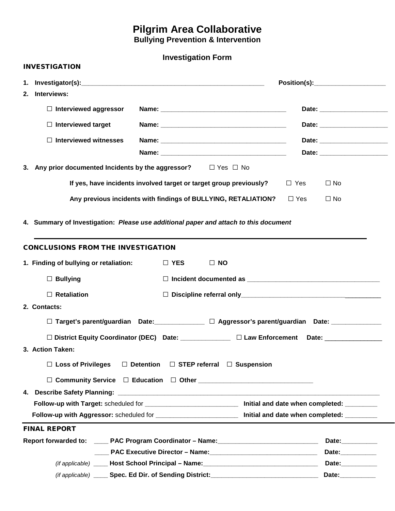# **Pilgrim Area Collaborative**

**Bullying Prevention & Intervention** 

## **Investigation Form**

| <b>INVESTIGATION</b>                                                                                               |                                     |  |
|--------------------------------------------------------------------------------------------------------------------|-------------------------------------|--|
| Interviews:<br>2.                                                                                                  |                                     |  |
| $\Box$ Interviewed aggressor                                                                                       |                                     |  |
| $\Box$ Interviewed target                                                                                          |                                     |  |
| $\Box$ Interviewed witnesses                                                                                       |                                     |  |
|                                                                                                                    |                                     |  |
| 3. Any prior documented Incidents by the aggressor? $\square$ Yes $\square$ No                                     |                                     |  |
| If yes, have incidents involved target or target group previously?                                                 | $\Box$ Yes<br>$\Box$ No             |  |
| Any previous incidents with findings of BULLYING, RETALIATION?                                                     | $\Box$ Yes<br>$\Box$ No             |  |
| 4. Summary of Investigation: Please use additional paper and attach to this document                               |                                     |  |
| <b>CONCLUSIONS FROM THE INVESTIGATION</b>                                                                          |                                     |  |
| 1. Finding of bullying or retaliation:<br>$\Box$ YES<br>$\Box$ NO                                                  |                                     |  |
| $\Box$ Bullying                                                                                                    |                                     |  |
| $\Box$ Retaliation                                                                                                 |                                     |  |
| 2. Contacts:                                                                                                       |                                     |  |
| $\square$ Target's parent/guardian Date: _______________ $\square$ Aggressor's parent/guardian Date: _____________ |                                     |  |
| □ District Equity Coordinator (DEC) Date: ________________ □ Law Enforcement Date: _______________                 |                                     |  |
| 3. Action Taken:                                                                                                   |                                     |  |
| $\Box$ Loss of Privileges<br>$\Box$ Detention $\Box$ STEP referral $\Box$ Suspension                               |                                     |  |
|                                                                                                                    |                                     |  |
|                                                                                                                    |                                     |  |
| Follow-up with Target: scheduled for _____________________________ Initial and date when completed: _________      |                                     |  |
| Follow-up with Aggressor: scheduled for _________________________ Initial and date when completed: ________        |                                     |  |
| <b>FINAL REPORT</b>                                                                                                |                                     |  |
| Report forwarded to: _____ PAC Program Coordinator - Name: ______________________                                  | Date:___________                    |  |
|                                                                                                                    | Date: __________                    |  |
|                                                                                                                    | Date:__________<br>Date:___________ |  |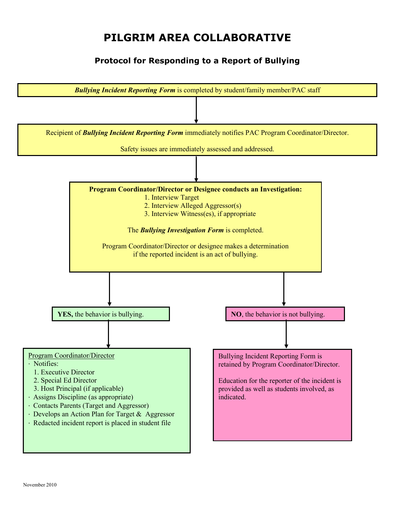# **PILGRIM AREA COLLABORATIVE**

## **Protocol for Responding to a Report of Bullying**

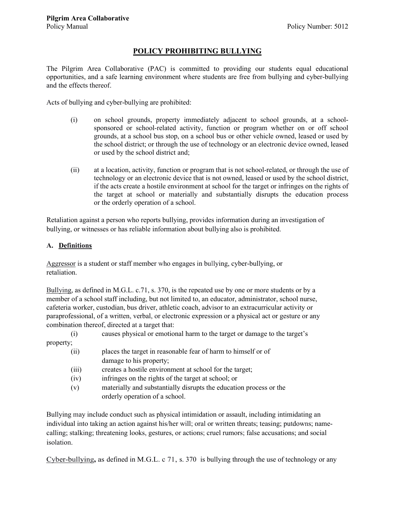## **POLICY PROHIBITING BULLYING**

The Pilgrim Area Collaborative (PAC) is committed to providing our students equal educational opportunities, and a safe learning environment where students are free from bullying and cyber-bullying and the effects thereof.

Acts of bullying and cyber-bullying are prohibited:

- (i) on school grounds, property immediately adjacent to school grounds, at a schoolsponsored or school-related activity, function or program whether on or off school grounds, at a school bus stop, on a school bus or other vehicle owned, leased or used by the school district; or through the use of technology or an electronic device owned, leased or used by the school district and;
- (ii) at a location, activity, function or program that is not school-related, or through the use of technology or an electronic device that is not owned, leased or used by the school district, if the acts create a hostile environment at school for the target or infringes on the rights of the target at school or materially and substantially disrupts the education process or the orderly operation of a school.

Retaliation against a person who reports bullying, provides information during an investigation of bullying, or witnesses or has reliable information about bullying also is prohibited.

#### **A. Definitions**

Aggressor is a student or staff member who engages in bullying, cyber-bullying, or retaliation.

Bullying, as defined in M.G.L. c.71, s. 370, is the repeated use by one or more students or by a member of a school staff including, but not limited to, an educator, administrator, school nurse, cafeteria worker, custodian, bus driver, athletic coach, advisor to an extracurricular activity or paraprofessional, of a written, verbal, or electronic expression or a physical act or gesture or any combination thereof, directed at a target that:

(i) causes physical or emotional harm to the target or damage to the target's

property;

| (ii)  | places the target in reasonable fear of harm to himself or of      |
|-------|--------------------------------------------------------------------|
|       | damage to his property;                                            |
| (iii) | creates a hostile environment at school for the target;            |
| (iv)  | infringes on the rights of the target at school; or                |
| (v)   | materially and substantially disrupts the education process or the |
|       | orderly operation of a school.                                     |

Bullying may include conduct such as physical intimidation or assault, including intimidating an individual into taking an action against his/her will; oral or written threats; teasing; putdowns; namecalling; stalking; threatening looks, gestures, or actions; cruel rumors; false accusations; and social isolation.

Cyber-bullying**,** as defined in M.G.L. c 71, s. 370 is bullying through the use of technology or any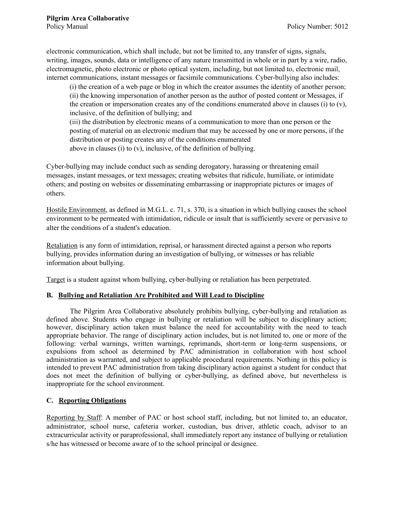electronic communication, which shall include, but not be limited to, any transfer of signs, signals, writing, images, sounds, data or intelligence of any nature transmitted in whole or in part by a wire, radio, electromagnetic, photo electronic or photo optical system, including, but not limited to, electronic mail, internet communications, instant messages or facsimile communications. Cyber-bullying also includes:

(i) the creation of a web page or blog in which the creator assumes the identity of another person; (ii) the knowing impersonation of another person as the author of posted content or Messages, if the creation or impersonation creates any of the conditions enumerated above in clauses (i) to  $(v)$ , inclusive, of the definition of bullying; and

(iii) the distribution by electronic means of a communication to more than one person or the posting of material on an electronic medium that may be accessed by one or more persons, if the distribution or posting creates any of the conditions enumerated above in clauses (i) to (v), inclusive, of the definition of bullying.

Cyber-bullying may include conduct such as sending derogatory, harassing or threatening email messages, instant messages, or text messages; creating websites that ridicule, humiliate, or intimidate others; and posting on websites or disseminating embarrassing or inappropriate pictures or images of others.

Hostile Environment, as defined in M.G.L. c. 71, s. 370, is a situation in which bullying causes the school environment to be permeated with intimidation, ridicule or insult that is sufficiently severe or pervasive to alter the conditions of a student's education.

Retaliation is any form of intimidation, reprisal, or harassment directed against a person who reports bullying, provides information during an investigation of bullying, or witnesses or has reliable information about bullying.

Target is a student against whom bullying, cyber-bullying or retaliation has been perpetrated.

### **B. Bullying and Retaliation Are Prohibited and Will Lead to Discipline**

The Pilgrim Area Collaborative absolutely prohibits bullying, cyber-bullying and retaliation as defined above. Students who engage in bullying or retaliation will be subject to disciplinary action; however, disciplinary action taken must balance the need for accountability with the need to teach appropriate behavior. The range of disciplinary action includes, but is not limited to, one or more of the following: verbal warnings, written warnings, reprimands, short-term or long-term suspensions, or expulsions from school as determined by PAC administration in collaboration with host school administration as warranted, and subject to applicable procedural requirements. Nothing in this policy is intended to prevent PAC administration from taking disciplinary action against a student for conduct that does not meet the definition of bullying or cyber-bullying, as defined above, but nevertheless is inappropriate for the school environment.

### **C. Reporting Obligations**

Reporting by Staff: A member of PAC or host school staff, including, but not limited to, an educator, administrator, school nurse, cafeteria worker, custodian, bus driver, athletic coach, advisor to an extracurricular activity or paraprofessional, shall immediately report any instance of bullying or retaliation s/he has witnessed or become aware of to the school principal or designee.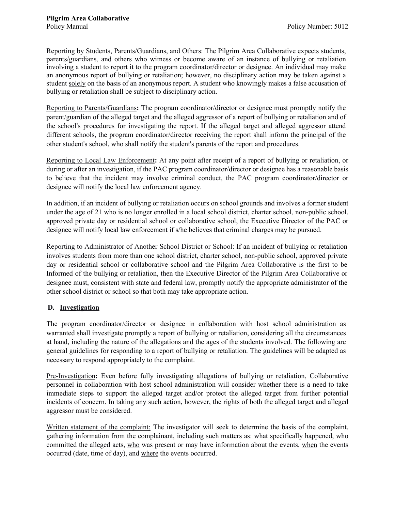Reporting by Students, Parents/Guardians, and Others: The Pilgrim Area Collaborative expects students, parents/guardians, and others who witness or become aware of an instance of bullying or retaliation involving a student to report it to the program coordinator/director or designee. An individual may make an anonymous report of bullying or retaliation; however, no disciplinary action may be taken against a student solely on the basis of an anonymous report. A student who knowingly makes a false accusation of bullying or retaliation shall be subject to disciplinary action.

Reporting to Parents/Guardians**:** The program coordinator/director or designee must promptly notify the parent/guardian of the alleged target and the alleged aggressor of a report of bullying or retaliation and of the school's procedures for investigating the report. If the alleged target and alleged aggressor attend different schools, the program coordinator/director receiving the report shall inform the principal of the other student's school, who shall notify the student's parents of the report and procedures.

Reporting to Local Law Enforcement**:** At any point after receipt of a report of bullying or retaliation, or during or after an investigation, if the PAC program coordinator/director or designee has a reasonable basis to believe that the incident may involve criminal conduct, the PAC program coordinator/director or designee will notify the local law enforcement agency.

In addition, if an incident of bullying or retaliation occurs on school grounds and involves a former student under the age of 21 who is no longer enrolled in a local school district, charter school, non-public school, approved private day or residential school or collaborative school, the Executive Director of the PAC or designee will notify local law enforcement if s/he believes that criminal charges may be pursued.

Reporting to Administrator of Another School District or School: If an incident of bullying or retaliation involves students from more than one school district, charter school, non-public school, approved private day or residential school or collaborative school and the Pilgrim Area Collaborative is the first to be Informed of the bullying or retaliation, then the Executive Director of the Pilgrim Area Collaborative or designee must, consistent with state and federal law, promptly notify the appropriate administrator of the other school district or school so that both may take appropriate action.

### **D. Investigation**

The program coordinator/director or designee in collaboration with host school administration as warranted shall investigate promptly a report of bullying or retaliation, considering all the circumstances at hand, including the nature of the allegations and the ages of the students involved. The following are general guidelines for responding to a report of bullying or retaliation. The guidelines will be adapted as necessary to respond appropriately to the complaint.

Pre-Investigation**:** Even before fully investigating allegations of bullying or retaliation, Collaborative personnel in collaboration with host school administration will consider whether there is a need to take immediate steps to support the alleged target and/or protect the alleged target from further potential incidents of concern. In taking any such action, however, the rights of both the alleged target and alleged aggressor must be considered.

Written statement of the complaint: The investigator will seek to determine the basis of the complaint, gathering information from the complainant, including such matters as: what specifically happened, who committed the alleged acts, who was present or may have information about the events, when the events occurred (date, time of day), and where the events occurred.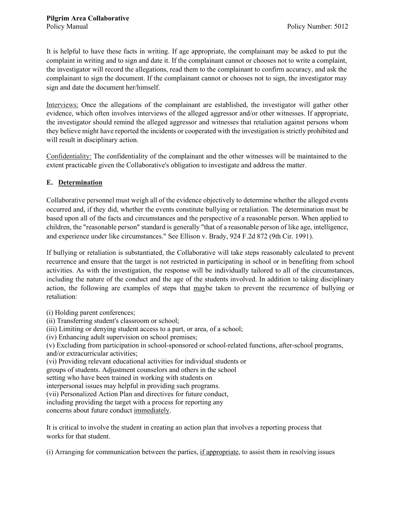It is helpful to have these facts in writing. If age appropriate, the complainant may be asked to put the complaint in writing and to sign and date it. If the complainant cannot or chooses not to write a complaint, the investigator will record the allegations, read them to the complainant to confirm accuracy, and ask the complainant to sign the document. If the complainant cannot or chooses not to sign, the investigator may sign and date the document her/himself.

Interviews: Once the allegations of the complainant are established, the investigator will gather other evidence, which often involves interviews of the alleged aggressor and/or other witnesses. If appropriate, the investigator should remind the alleged aggressor and witnesses that retaliation against persons whom they believe might have reported the incidents or cooperated with the investigation is strictly prohibited and will result in disciplinary action.

Confidentiality: The confidentiality of the complainant and the other witnesses will be maintained to the extent practicable given the Collaborative's obligation to investigate and address the matter.

## **E. Determination**

Collaborative personnel must weigh all of the evidence objectively to determine whether the alleged events occurred and, if they did, whether the events constitute bullying or retaliation. The determination must be based upon all of the facts and circumstances and the perspective of a reasonable person. When applied to children, the "reasonable person" standard is generally "that of a reasonable person of like age, intelligence, and experience under like circumstances." See Ellison v. Brady, 924 F.2d 872 (9th Cir. 1991).

If bullying or retaliation is substantiated, the Collaborative will take steps reasonably calculated to prevent recurrence and ensure that the target is not restricted in participating in school or in benefiting from school activities. As with the investigation, the response will be individually tailored to all of the circumstances, including the nature of the conduct and the age of the students involved. In addition to taking disciplinary action, the following are examples of steps that maybe taken to prevent the recurrence of bullying or retaliation:

(i) Holding parent conferences;

- (ii) Transferring student's classroom or school;
- (iii) Limiting or denying student access to a part, or area, of a school;

(iv) Enhancing adult supervision on school premises;

(v) Excluding from participation in school-sponsored or school-related functions, after-school programs, and/or extracurricular activities;

(vi) Providing relevant educational activities for individual students or

groups of students. Adjustment counselors and others in the school

setting who have been trained in working with students on

interpersonal issues may helpful in providing such programs.

(vii) Personalized Action Plan and directives for future conduct,

including providing the target with a process for reporting any

concerns about future conduct immediately.

It is critical to involve the student in creating an action plan that involves a reporting process that works for that student.

(i) Arranging for communication between the parties, if appropriate, to assist them in resolving issues